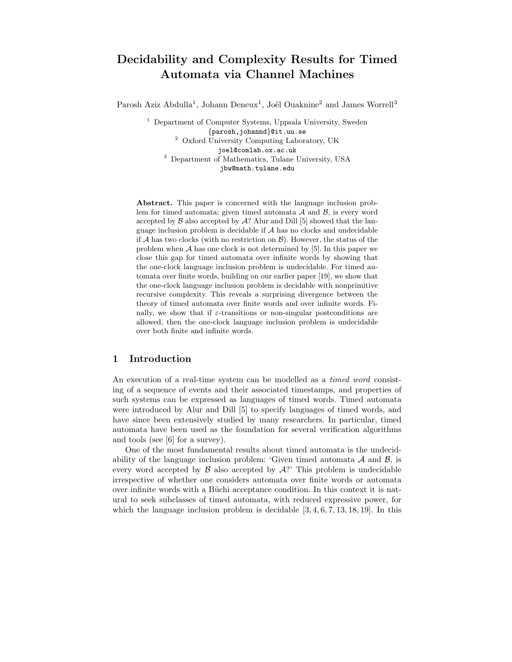# Decidability and Complexity Results for Timed Automata via Channel Machines

Parosh Aziz Abdulla<sup>1</sup>, Johann Deneux<sup>1</sup>, Joël Ouaknine<sup>2</sup> and James Worrell<sup>3</sup>

<sup>1</sup> Department of Computer Systems, Uppsala University, Sweden {parosh,johannd}@it.uu.se <sup>2</sup> Oxford University Computing Laboratory, UK joel@comlab.ox.ac.uk <sup>3</sup> Department of Mathematics, Tulane University, USA jbw@math.tulane.edu

Abstract. This paper is concerned with the language inclusion problem for timed automata: given timed automata  $A$  and  $B$ , is every word accepted by  $\beta$  also accepted by  $\mathcal{A}$ ? Alur and Dill [5] showed that the language inclusion problem is decidable if  $A$  has no clocks and undecidable if  $A$  has two clocks (with no restriction on  $B$ ). However, the status of the problem when  $A$  has one clock is not determined by  $[5]$ . In this paper we close this gap for timed automata over infinite words by showing that the one-clock language inclusion problem is undecidable. For timed automata over finite words, building on our earlier paper [19], we show that the one-clock language inclusion problem is decidable with nonprimitive recursive complexity. This reveals a surprising divergence between the theory of timed automata over finite words and over infinite words. Finally, we show that if  $\varepsilon$ -transitions or non-singular postconditions are allowed, then the one-clock language inclusion problem is undecidable over both finite and infinite words.

## 1 Introduction

An execution of a real-time system can be modelled as a *timed word* consisting of a sequence of events and their associated timestamps, and properties of such systems can be expressed as languages of timed words. Timed automata were introduced by Alur and Dill [5] to specify languages of timed words, and have since been extensively studied by many researchers. In particular, timed automata have been used as the foundation for several verification algorithms and tools (see [6] for a survey).

One of the most fundamental results about timed automata is the undecidability of the language inclusion problem: 'Given timed automata  $A$  and  $B$ , is every word accepted by  $\beta$  also accepted by  $\mathcal{A}$ ? This problem is undecidable irrespective of whether one considers automata over finite words or automata over infinite words with a Büchi acceptance condition. In this context it is natural to seek subclasses of timed automata, with reduced expressive power, for which the language inclusion problem is decidable  $[3, 4, 6, 7, 13, 18, 19]$ . In this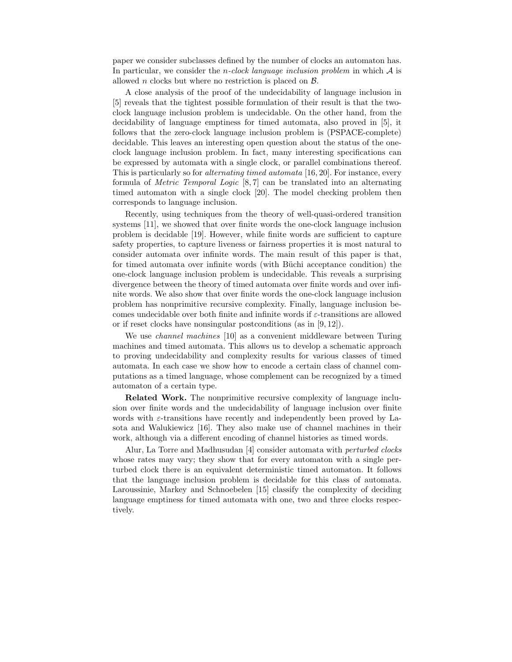paper we consider subclasses defined by the number of clocks an automaton has. In particular, we consider the *n*-clock language inclusion problem in which  $A$  is allowed *n* clocks but where no restriction is placed on  $\beta$ .

A close analysis of the proof of the undecidability of language inclusion in [5] reveals that the tightest possible formulation of their result is that the twoclock language inclusion problem is undecidable. On the other hand, from the decidability of language emptiness for timed automata, also proved in [5], it follows that the zero-clock language inclusion problem is (PSPACE-complete) decidable. This leaves an interesting open question about the status of the oneclock language inclusion problem. In fact, many interesting specifications can be expressed by automata with a single clock, or parallel combinations thereof. This is particularly so for *alternating timed automata* [16, 20]. For instance, every formula of Metric Temporal Logic [8, 7] can be translated into an alternating timed automaton with a single clock [20]. The model checking problem then corresponds to language inclusion.

Recently, using techniques from the theory of well-quasi-ordered transition systems [11], we showed that over finite words the one-clock language inclusion problem is decidable [19]. However, while finite words are sufficient to capture safety properties, to capture liveness or fairness properties it is most natural to consider automata over infinite words. The main result of this paper is that, for timed automata over infinite words (with Büchi acceptance condition) the one-clock language inclusion problem is undecidable. This reveals a surprising divergence between the theory of timed automata over finite words and over infinite words. We also show that over finite words the one-clock language inclusion problem has nonprimitive recursive complexity. Finally, language inclusion becomes undecidable over both finite and infinite words if  $\varepsilon$ -transitions are allowed or if reset clocks have nonsingular postconditions (as in [9, 12]).

We use channel machines [10] as a convenient middleware between Turing machines and timed automata. This allows us to develop a schematic approach to proving undecidability and complexity results for various classes of timed automata. In each case we show how to encode a certain class of channel computations as a timed language, whose complement can be recognized by a timed automaton of a certain type.

Related Work. The nonprimitive recursive complexity of language inclusion over finite words and the undecidability of language inclusion over finite words with  $\varepsilon$ -transitions have recently and independently been proved by Lasota and Walukiewicz [16]. They also make use of channel machines in their work, although via a different encoding of channel histories as timed words.

Alur, La Torre and Madhusudan [4] consider automata with perturbed clocks whose rates may vary; they show that for every automaton with a single perturbed clock there is an equivalent deterministic timed automaton. It follows that the language inclusion problem is decidable for this class of automata. Laroussinie, Markey and Schnoebelen [15] classify the complexity of deciding language emptiness for timed automata with one, two and three clocks respectively.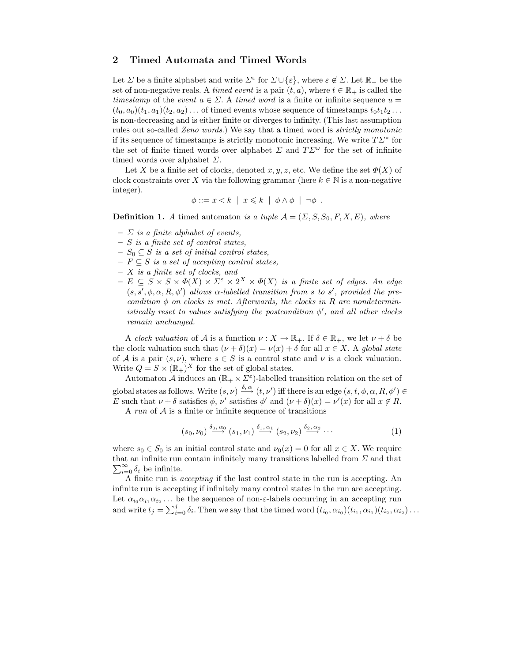## 2 Timed Automata and Timed Words

Let  $\Sigma$  be a finite alphabet and write  $\Sigma^{\epsilon}$  for  $\Sigma \cup \{\epsilon\}$ , where  $\varepsilon \notin \Sigma$ . Let  $\mathbb{R}_{+}$  be the set of non-negative reals. A timed event is a pair  $(t, a)$ , where  $t \in \mathbb{R}_+$  is called the timestamp of the event  $a \in \Sigma$ . A timed word is a finite or infinite sequence  $u =$  $(t_0, a_0)(t_1, a_1)(t_2, a_2) \dots$  of timed events whose sequence of timestamps  $t_0 t_1 t_2 \dots$ is non-decreasing and is either finite or diverges to infinity. (This last assumption rules out so-called Zeno words.) We say that a timed word is strictly monotonic if its sequence of timestamps is strictly monotonic increasing. We write  $T\Sigma^*$  for the set of finite timed words over alphabet  $\Sigma$  and  $T\Sigma^{\omega}$  for the set of infinite timed words over alphabet  $\Sigma$ .

Let X be a finite set of clocks, denoted  $x, y, z$ , etc. We define the set  $\Phi(X)$  of clock constraints over X via the following grammar (here  $k \in \mathbb{N}$  is a non-negative integer).

$$
\phi ::= x < k \mid x \leq k \mid \phi \land \phi \mid \neg \phi \ .
$$

**Definition 1.** A timed automaton is a tuple  $A = (\Sigma, S, S_0, F, X, E)$ , where

- $\sum$  is a finite alphabet of events,
- $S$  is a finite set of control states,
- $S_0 \subseteq S$  is a set of initial control states,
- $F \subseteq S$  is a set of accepting control states,
- $X$  is a finite set of clocks, and
- $E \subseteq S \times S \times \Phi(X) \times \Sigma^{\epsilon} \times 2^{X} \times \Phi(X)$  is a finite set of edges. An edge  $(s, s', \phi, \alpha, R, \phi')$  allows  $\alpha$ -labelled transition from s to s', provided the precondition  $\phi$  on clocks is met. Afterwards, the clocks in R are nondeterministically reset to values satisfying the postcondition  $\phi'$ , and all other clocks remain unchanged.

A clock valuation of A is a function  $\nu : X \to \mathbb{R}_+$ . If  $\delta \in \mathbb{R}_+$ , we let  $\nu + \delta$  be the clock valuation such that  $(\nu + \delta)(x) = \nu(x) + \delta$  for all  $x \in X$ . A global state of A is a pair  $(s, \nu)$ , where  $s \in S$  is a control state and  $\nu$  is a clock valuation. Write  $Q = S \times (\mathbb{R}_+)^X$  for the set of global states.

Automaton  $\mathcal A$  induces an  $(\mathbb{R}_+ \times \Sigma^{\varepsilon})$ -labelled transition relation on the set of global states as follows. Write  $(s, \nu) \stackrel{\delta, \alpha}{\longrightarrow} (t, \nu')$  iff there is an edge  $(s, t, \phi, \alpha, R, \phi') \in$ E such that  $\nu + \delta$  satisfies  $\phi$ ,  $\nu'$  satisfies  $\phi'$  and  $(\nu + \delta)(x) = \nu'(x)$  for all  $x \notin R$ .

A run of  $A$  is a finite or infinite sequence of transitions

$$
(s_0,\nu_0) \stackrel{\delta_0,\alpha_0}{\longrightarrow} (s_1,\nu_1) \stackrel{\delta_1,\alpha_1}{\longrightarrow} (s_2,\nu_2) \stackrel{\delta_2,\alpha_2}{\longrightarrow} \cdots
$$
 (1)

where  $s_0 \in S_0$  is an initial control state and  $\nu_0(x) = 0$  for all  $x \in X$ . We require  $\sum_{i=0}^{\infty} \delta_i$  be infinite. that an infinite run contain infinitely many transitions labelled from  $\Sigma$  and that

A finite run is accepting if the last control state in the run is accepting. An infinite run is accepting if infinitely many control states in the run are accepting. Let  $\alpha_{i_0}\alpha_{i_1}\alpha_{i_2} \ldots$  be the sequence of non- $\varepsilon$ -labels occurring in an accepting run and write  $t_j = \sum_{i=0}^j \delta_i$ . Then we say that the timed word  $(t_{i_0}, \alpha_{i_0})(t_{i_1}, \alpha_{i_1})(t_{i_2}, \alpha_{i_2}) \dots$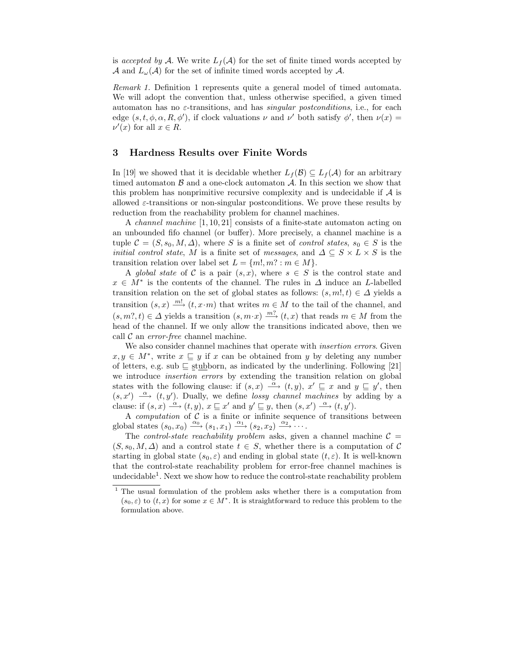is accepted by A. We write  $L_f(\mathcal{A})$  for the set of finite timed words accepted by A and  $L_{\omega}(\mathcal{A})$  for the set of infinite timed words accepted by A.

Remark 1. Definition 1 represents quite a general model of timed automata. We will adopt the convention that, unless otherwise specified, a given timed automaton has no  $\varepsilon$ -transitions, and has *singular postconditions*, i.e., for each edge  $(s, t, \phi, \alpha, R, \phi')$ , if clock valuations  $\nu$  and  $\nu'$  both satisfy  $\phi'$ , then  $\nu(x)$  $\nu'(x)$  for all  $x \in R$ .

### 3 Hardness Results over Finite Words

In [19] we showed that it is decidable whether  $L_f(\mathcal{B}) \subseteq L_f(\mathcal{A})$  for an arbitrary timed automaton  $\beta$  and a one-clock automaton  $\mathcal A$ . In this section we show that this problem has nonprimitive recursive complexity and is undecidable if  $A$  is allowed  $\varepsilon$ -transitions or non-singular postconditions. We prove these results by reduction from the reachability problem for channel machines.

A channel machine [1, 10, 21] consists of a finite-state automaton acting on an unbounded fifo channel (or buffer). More precisely, a channel machine is a tuple  $\mathcal{C} = (S, s_0, M, \Delta)$ , where S is a finite set of *control states*,  $s_0 \in S$  is the *initial control state, M* is a finite set of *messages*, and  $\Delta \subseteq S \times L \times S$  is the transition relation over label set  $L = \{m!, m? : m \in M\}.$ 

A global state of C is a pair  $(s, x)$ , where  $s \in S$  is the control state and  $x \in M^*$  is the contents of the channel. The rules in  $\Delta$  induce an L-labelled transition relation on the set of global states as follows:  $(s, m!, t) \in \Delta$  yields a transition  $(s, x) \stackrel{m!}{\longrightarrow} (t, x \cdot m)$  that writes  $m \in M$  to the tail of the channel, and  $(s, m? , t) \in \Delta$  yields a transition  $(s, m \cdot x) \xrightarrow{m?} (t, x)$  that reads  $m \in M$  from the head of the channel. If we only allow the transitions indicated above, then we call  $\mathcal C$  an *error-free* channel machine.

We also consider channel machines that operate with *insertion errors*. Given  $x, y \in M^*$ , write  $x \subseteq y$  if x can be obtained from y by deleting any number of letters, e.g. sub $\sqsubseteq$  stubborn, as indicated by the underlining. Following [21] we introduce insertion errors by extending the transition relation on global states with the following clause: if  $(s, x) \stackrel{\alpha}{\longrightarrow} (t, y)$ ,  $x' \sqsubseteq x$  and  $y \sqsubseteq y'$ , then  $(s, x') \longrightarrow (t, y')$ . Dually, we define lossy channel machines by adding by a clause: if  $(s, x) \stackrel{\alpha}{\longrightarrow} (t, y), x \sqsubseteq x'$  and  $y' \sqsubseteq y$ , then  $(s, x') \stackrel{\alpha}{\longrightarrow} (t, y')$ .

A *computation* of  $C$  is a finite or infinite sequence of transitions between global states  $(s_0, x_0) \xrightarrow{\alpha_0} (s_1, x_1) \xrightarrow{\alpha_1} (s_2, x_2) \xrightarrow{\alpha_2} \cdots$ 

The *control-state reachability problem* asks, given a channel machine  $C =$  $(S, s_0, M, \Delta)$  and a control state  $t \in S$ , whether there is a computation of C starting in global state  $(s_0, \varepsilon)$  and ending in global state  $(t, \varepsilon)$ . It is well-known that the control-state reachability problem for error-free channel machines is undecidable<sup>1</sup>. Next we show how to reduce the control-state reachability problem

<sup>&</sup>lt;sup>1</sup> The usual formulation of the problem asks whether there is a computation from  $(s_0, \varepsilon)$  to  $(t, x)$  for some  $x \in M^*$ . It is straightforward to reduce this problem to the formulation above.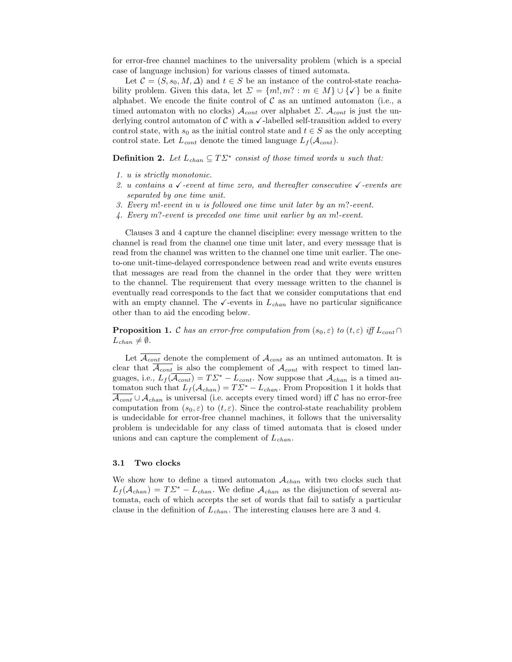for error-free channel machines to the universality problem (which is a special case of language inclusion) for various classes of timed automata.

Let  $\mathcal{C} = (S, s_0, M, \Delta)$  and  $t \in S$  be an instance of the control-state reachability problem. Given this data, let  $\Sigma = \{m!, m? : m \in M\} \cup \{\checkmark\}$  be a finite alphabet. We encode the finite control of  $\mathcal C$  as an untimed automaton (i.e., a timed automaton with no clocks)  $\mathcal{A}_{cont}$  over alphabet  $\Sigma$ .  $\mathcal{A}_{cont}$  is just the underlying control automaton of  $\mathcal C$  with a  $\checkmark$ -labelled self-transition added to every control state, with  $s_0$  as the initial control state and  $t \in S$  as the only accepting control state. Let  $L_{cont}$  denote the timed language  $L_f(A_{cont})$ .

**Definition 2.** Let  $L_{chan} \subseteq T\Sigma^*$  consist of those timed words u such that:

- 1. u is strictly monotonic.
- 2. u contains a  $\sqrt{\cdot}$  event at time zero, and thereafter consecutive  $\sqrt{\cdot}$  events are separated by one time unit.
- 3. Every m!-event in u is followed one time unit later by an m?-event.
- 4. Every m?-event is preceded one time unit earlier by an m!-event.

Clauses 3 and 4 capture the channel discipline: every message written to the channel is read from the channel one time unit later, and every message that is read from the channel was written to the channel one time unit earlier. The oneto-one unit-time-delayed correspondence between read and write events ensures that messages are read from the channel in the order that they were written to the channel. The requirement that every message written to the channel is eventually read corresponds to the fact that we consider computations that end with an empty channel. The  $\checkmark$ -events in  $L_{chan}$  have no particular significance other than to aid the encoding below.

**Proposition 1.** C has an error-free computation from  $(s_0, \varepsilon)$  to  $(t, \varepsilon)$  iff  $L_{cont} \cap$  $L_{chan} \neq \emptyset$ .

Let  $\overline{\mathcal{A}_{cont}}$  denote the complement of  $\mathcal{A}_{cont}$  as an untimed automaton. It is clear that  $\overline{A_{cont}}$  is also the complement of  $A_{cont}$  with respect to timed languages, i.e.,  $L_f(\overline{\mathcal{A}_{cont}}) = T\Sigma^* - L_{cont}$ . Now suppose that  $\mathcal{A}_{chan}$  is a timed automaton such that  $L_f(A_{chan}) = T\mathcal{L}^* - L_{chan}$ . From Proposition 1 it holds that  $\overline{\mathcal{A}_{cont}} \cup \mathcal{A}_{chan}$  is universal (i.e. accepts every timed word) iff C has no error-free computation from  $(s_0, \varepsilon)$  to  $(t, \varepsilon)$ . Since the control-state reachability problem is undecidable for error-free channel machines, it follows that the universality problem is undecidable for any class of timed automata that is closed under unions and can capture the complement of  $L_{chan}$ .

#### 3.1 Two clocks

We show how to define a timed automaton  $A_{chan}$  with two clocks such that  $L_f(\mathcal{A}_{chan}) = T\mathcal{L}^* - L_{chan}$ . We define  $\mathcal{A}_{chan}$  as the disjunction of several automata, each of which accepts the set of words that fail to satisfy a particular clause in the definition of  $L_{chan}$ . The interesting clauses here are 3 and 4.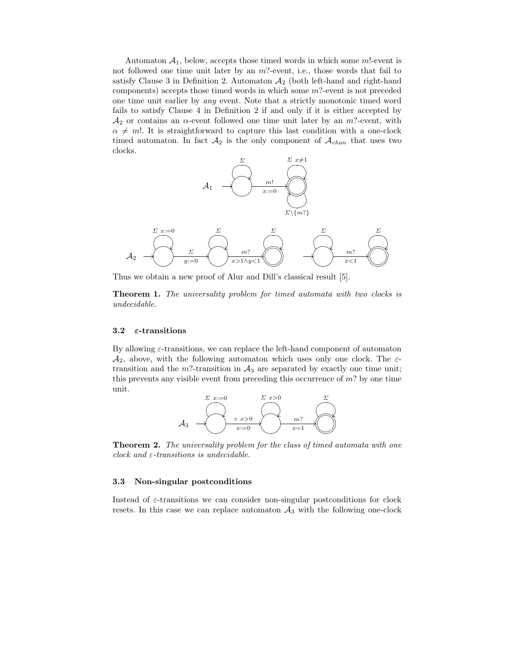Automaton  $A_1$ , below, accepts those timed words in which some m!-event is not followed one time unit later by an  $m$ ?-event, i.e., those words that fail to satisfy Clause 3 in Definition 2. Automaton  $\mathcal{A}_2$  (both left-hand and right-hand components) accepts those timed words in which some  $m$ ?-event is not preceded one time unit earlier by any event. Note that a strictly monotonic timed word fails to satisfy Clause 4 in Definition 2 if and only if it is either accepted by  $\mathcal{A}_2$  or contains an  $\alpha$ -event followed one time unit later by an  $m$ ?-event, with  $\alpha \neq m!$ . It is straightforward to capture this last condition with a one-clock timed automaton. In fact  $A_2$  is the only component of  $A_{chan}$  that uses two clocks.



Thus we obtain a new proof of Alur and Dill's classical result [5].

Theorem 1. The universality problem for timed automata with two clocks is undecidable.

#### 3.2  $\varepsilon$ -transitions

By allowing  $\varepsilon$ -transitions, we can replace the left-hand component of automaton  $\mathcal{A}_2$ , above, with the following automaton which uses only one clock. The  $\varepsilon$ transition and the  $m$ ?-transition in  $\mathcal{A}_3$  are separated by exactly one time unit; this prevents any visible event from preceding this occurrence of m? by one time unit.



**Theorem 2.** The universality problem for the class of timed automata with one clock and  $\varepsilon$ -transitions is undecidable.

#### 3.3 Non-singular postconditions

Instead of  $\varepsilon$ -transitions we can consider non-singular postconditions for clock resets. In this case we can replace automaton  $A_3$  with the following one-clock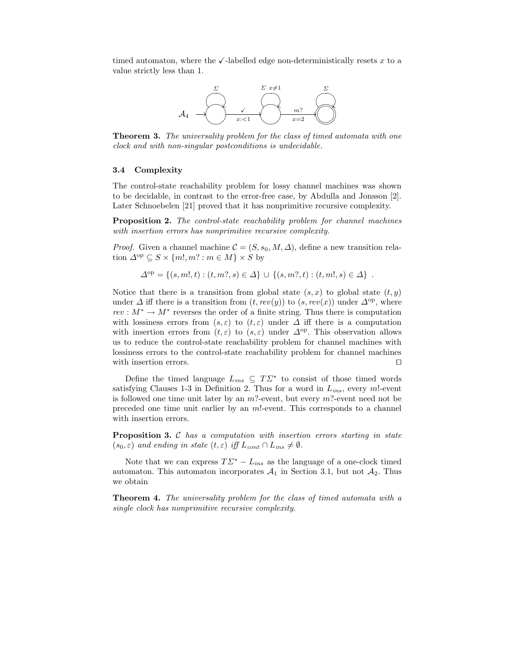timed automaton, where the  $\checkmark$ -labelled edge non-deterministically resets x to a value strictly less than 1.



**Theorem 3.** The universality problem for the class of timed automata with one clock and with non-singular postconditions is undecidable.

#### 3.4 Complexity

The control-state reachability problem for lossy channel machines was shown to be decidable, in contrast to the error-free case, by Abdulla and Jonsson [2]. Later Schnoebelen [21] proved that it has nonprimitive recursive complexity.

Proposition 2. The control-state reachability problem for channel machines with insertion errors has nonprimitive recursive complexity.

*Proof.* Given a channel machine  $\mathcal{C} = (S, s_0, M, \Delta)$ , define a new transition relation  $\Delta^{op} \subseteq S \times \{m!, m? : m \in M\} \times S$  by

$$
\Delta^{\text{op}} = \{ (s, m!, t) : (t, m?, s) \in \Delta \} \cup \{ (s, m?, t) : (t, m!, s) \in \Delta \} .
$$

Notice that there is a transition from global state  $(s, x)$  to global state  $(t, y)$ under  $\Delta$  iff there is a transition from  $(t, rev(y))$  to  $(s, rev(x))$  under  $\Delta^{\rm op}$ , where  $rev : M^* \to M^*$  reverses the order of a finite string. Thus there is computation with lossiness errors from  $(s, \varepsilon)$  to  $(t, \varepsilon)$  under  $\Delta$  iff there is a computation with insertion errors from  $(t, \varepsilon)$  to  $(s, \varepsilon)$  under  $\Delta^{\text{op}}$ . This observation allows us to reduce the control-state reachability problem for channel machines with lossiness errors to the control-state reachability problem for channel machines with insertion errors.  $\Box$ 

Define the timed language  $L_{ins} \subseteq T\mathbb{Z}^*$  to consist of those timed words satisfying Clauses 1-3 in Definition 2. Thus for a word in  $L_{ins}$ , every m!-event is followed one time unit later by an  $m$ ?-event, but every  $m$ ?-event need not be preceded one time unit earlier by an m!-event. This corresponds to a channel with insertion errors.

**Proposition 3.** C has a computation with insertion errors starting in state  $(s_0, \varepsilon)$  and ending in state  $(t, \varepsilon)$  iff  $L_{cont} \cap L_{ins} \neq \emptyset$ .

Note that we can express  $T\Sigma^* - L_{ins}$  as the language of a one-clock timed automaton. This automaton incorporates  $A_1$  in Section 3.1, but not  $A_2$ . Thus we obtain

Theorem 4. The universality problem for the class of timed automata with a single clock has nonprimitive recursive complexity.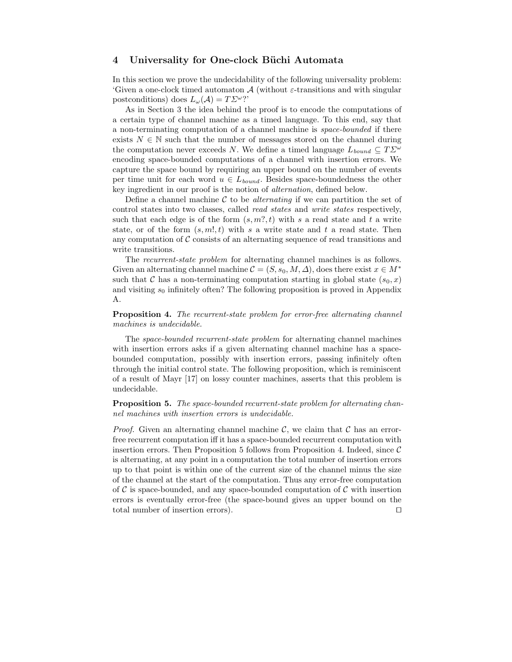## 4 Universality for One-clock Büchi Automata

In this section we prove the undecidability of the following universality problem: 'Given a one-clock timed automaton  $A$  (without  $\varepsilon$ -transitions and with singular postconditions) does  $L_{\omega}(\mathcal{A}) = T\mathcal{L}^{\omega}$ ?'

As in Section 3 the idea behind the proof is to encode the computations of a certain type of channel machine as a timed language. To this end, say that a non-terminating computation of a channel machine is space-bounded if there exists  $N \in \mathbb{N}$  such that the number of messages stored on the channel during the computation never exceeds N. We define a timed language  $L_{bound} \subseteq T\mathcal{L}^{\omega}$ encoding space-bounded computations of a channel with insertion errors. We capture the space bound by requiring an upper bound on the number of events per time unit for each word  $u \in L_{bound}$ . Besides space-boundedness the other key ingredient in our proof is the notion of alternation, defined below.

Define a channel machine  $\mathcal C$  to be *alternating* if we can partition the set of control states into two classes, called read states and write states respectively, such that each edge is of the form  $(s, m, n, t)$  with s a read state and t a write state, or of the form  $(s, m!, t)$  with s a write state and t a read state. Then any computation of  $\mathcal C$  consists of an alternating sequence of read transitions and write transitions.

The recurrent-state problem for alternating channel machines is as follows. Given an alternating channel machine  $\mathcal{C} = (S, s_0, M, \Delta)$ , does there exist  $x \in M^*$ such that C has a non-terminating computation starting in global state  $(s_0, x)$ and visiting  $s_0$  infinitely often? The following proposition is proved in Appendix A.

Proposition 4. The recurrent-state problem for error-free alternating channel machines is undecidable.

The space-bounded recurrent-state problem for alternating channel machines with insertion errors asks if a given alternating channel machine has a spacebounded computation, possibly with insertion errors, passing infinitely often through the initial control state. The following proposition, which is reminiscent of a result of Mayr [17] on lossy counter machines, asserts that this problem is undecidable.

Proposition 5. The space-bounded recurrent-state problem for alternating channel machines with insertion errors is undecidable.

*Proof.* Given an alternating channel machine  $\mathcal{C}$ , we claim that  $\mathcal{C}$  has an errorfree recurrent computation iff it has a space-bounded recurrent computation with insertion errors. Then Proposition 5 follows from Proposition 4. Indeed, since  $\mathcal C$ is alternating, at any point in a computation the total number of insertion errors up to that point is within one of the current size of the channel minus the size of the channel at the start of the computation. Thus any error-free computation of C is space-bounded, and any space-bounded computation of C with insertion errors is eventually error-free (the space-bound gives an upper bound on the total number of insertion errors).  $\Box$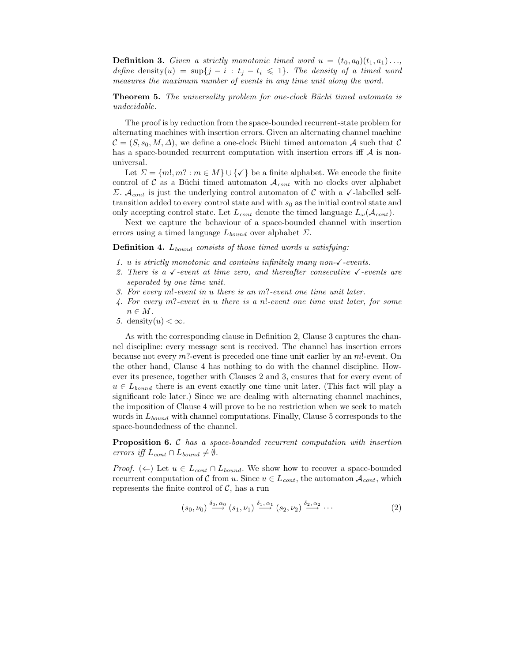**Definition 3.** Given a strictly monotonic timed word  $u = (t_0, a_0)(t_1, a_1) \ldots$ define density(u) =  $\sup\{j - i : t_j - t_i \leq 1\}$ . The density of a timed word measures the maximum number of events in any time unit along the word.

**Theorem 5.** The universality problem for one-clock Büchi timed automata is undecidable.

The proof is by reduction from the space-bounded recurrent-state problem for alternating machines with insertion errors. Given an alternating channel machine  $\mathcal{C} = (S, s_0, M, \Delta)$ , we define a one-clock Buchi timed automaton A such that C has a space-bounded recurrent computation with insertion errors iff  $A$  is nonuniversal.

Let  $\Sigma = \{m!, m? : m \in M\} \cup \{\checkmark\}$  be a finite alphabet. We encode the finite control of C as a Büchi timed automaton  $\mathcal{A}_{cont}$  with no clocks over alphabet Σ.  $\mathcal{A}_{cont}$  is just the underlying control automaton of C with a  $\checkmark$ -labelled selftransition added to every control state and with  $s_0$  as the initial control state and only accepting control state. Let  $L_{cont}$  denote the timed language  $L_{\omega}(\mathcal{A}_{cont})$ .

Next we capture the behaviour of a space-bounded channel with insertion errors using a timed language  $L_{bound}$  over alphabet  $\Sigma$ .

**Definition 4.**  $L_{bound}$  consists of those timed words u satisfying:

- 1. u is strictly monotonic and contains infinitely many non- $\checkmark$ -events.
- 2. There is a  $\checkmark$ -event at time zero, and thereafter consecutive  $\checkmark$ -events are separated by one time unit.
- 3. For every m!-event in u there is an m?-event one time unit later.
- 4. For every m?-event in u there is a n!-event one time unit later, for some  $n \in M$ .
- 5. density $(u) < \infty$ .

As with the corresponding clause in Definition 2, Clause 3 captures the channel discipline: every message sent is received. The channel has insertion errors because not every  $m$ ?-event is preceded one time unit earlier by an  $m!$ -event. On the other hand, Clause 4 has nothing to do with the channel discipline. However its presence, together with Clauses 2 and 3, ensures that for every event of  $u \in L_{bound}$  there is an event exactly one time unit later. (This fact will play a significant role later.) Since we are dealing with alternating channel machines, the imposition of Clause 4 will prove to be no restriction when we seek to match words in  $L_{bound}$  with channel computations. Finally, Clause 5 corresponds to the space-boundedness of the channel.

Proposition 6. C has a space-bounded recurrent computation with insertion errors iff  $L_{cont} \cap L_{bound} \neq \emptyset$ .

*Proof.* ( $\Leftarrow$ ) Let  $u \in L_{cont} \cap L_{bound}$ . We show how to recover a space-bounded recurrent computation of C from u. Since  $u \in L_{cont}$ , the automaton  $A_{cont}$ , which represents the finite control of  $\mathcal{C}$ , has a run

$$
(s_0,\nu_0) \stackrel{\delta_0,\alpha_0}{\longrightarrow} (s_1,\nu_1) \stackrel{\delta_1,\alpha_1}{\longrightarrow} (s_2,\nu_2) \stackrel{\delta_2,\alpha_2}{\longrightarrow} \cdots
$$
 (2)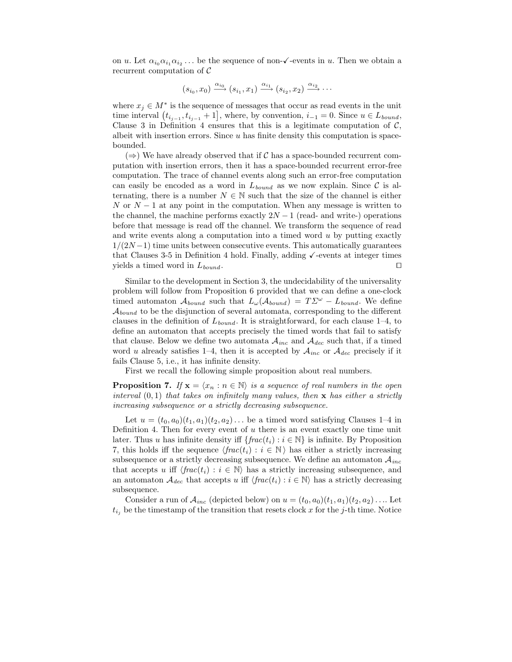on u. Let  $\alpha_{i_0}\alpha_{i_1}\alpha_{i_2} \ldots$  be the sequence of non- $\checkmark$ -events in u. Then we obtain a recurrent computation of C

$$
(s_{i_0}, x_0) \xrightarrow{\alpha_{i_0}} (s_{i_1}, x_1) \xrightarrow{\alpha_{i_1}} (s_{i_2}, x_2) \xrightarrow{\alpha_{i_2}} \cdots
$$

where  $x_j \in M^*$  is the sequence of messages that occur as read events in the unit time interval  $(t_{i_{j-1}}, t_{i_{j-1}} + 1]$ , where, by convention,  $i_{-1} = 0$ . Since  $u \in L_{bound}$ , Clause 3 in Definition 4 ensures that this is a legitimate computation of  $\mathcal{C}$ , albeit with insertion errors. Since  $u$  has finite density this computation is spacebounded.

 $(\Rightarrow)$  We have already observed that if C has a space-bounded recurrent computation with insertion errors, then it has a space-bounded recurrent error-free computation. The trace of channel events along such an error-free computation can easily be encoded as a word in  $L_{bound}$  as we now explain. Since C is alternating, there is a number  $N \in \mathbb{N}$  such that the size of the channel is either N or  $N-1$  at any point in the computation. When any message is written to the channel, the machine performs exactly  $2N - 1$  (read- and write-) operations before that message is read off the channel. We transform the sequence of read and write events along a computation into a timed word  $u$  by putting exactly  $1/(2N-1)$  time units between consecutive events. This automatically guarantees that Clauses 3-5 in Definition 4 hold. Finally, adding  $\checkmark$ -events at integer times yields a timed word in  $L_{bound}$ .

Similar to the development in Section 3, the undecidability of the universality problem will follow from Proposition 6 provided that we can define a one-clock timed automaton  $\mathcal{A}_{bound}$  such that  $L_{\omega}(\mathcal{A}_{bound}) = T\mathcal{L}^{\omega} - L_{bound}$ . We define  $\mathcal{A}_{bound}$  to be the disjunction of several automata, corresponding to the different clauses in the definition of  $L_{bound}$ . It is straightforward, for each clause 1–4, to define an automaton that accepts precisely the timed words that fail to satisfy that clause. Below we define two automata  $\mathcal{A}_{inc}$  and  $\mathcal{A}_{dec}$  such that, if a timed word u already satisfies 1–4, then it is accepted by  $A_{inc}$  or  $A_{dec}$  precisely if it fails Clause 5, i.e., it has infinite density.

First we recall the following simple proposition about real numbers.

**Proposition 7.** If  $\mathbf{x} = \langle x_n : n \in \mathbb{N} \rangle$  is a sequence of real numbers in the open interval  $(0, 1)$  that takes on infinitely many values, then x has either a strictly increasing subsequence or a strictly decreasing subsequence.

Let  $u = (t_0, a_0)(t_1, a_1)(t_2, a_2) \dots$  be a timed word satisfying Clauses 1–4 in Definition 4. Then for every event of u there is an event exactly one time unit later. Thus u has infinite density iff  $\{frac(t_i) : i \in \mathbb{N}\}\$ is infinite. By Proposition 7, this holds iff the sequence  $\langle frac(t_i) : i \in \mathbb{N} \rangle$  has either a strictly increasing subsequence or a strictly decreasing subsequence. We define an automaton  $A_{inc}$ that accepts u iff  $\langle \text{frac}(t_i) : i \in \mathbb{N} \rangle$  has a strictly increasing subsequence, and an automaton  $A_{dec}$  that accepts u iff  $\langle frac(t_i) : i \in \mathbb{N} \rangle$  has a strictly decreasing subsequence.

Consider a run of  $\mathcal{A}_{inc}$  (depicted below) on  $u = (t_0, a_0)(t_1, a_1)(t_2, a_2) \dots$  Let  $t_{i_j}$  be the timestamp of the transition that resets clock x for the j-th time. Notice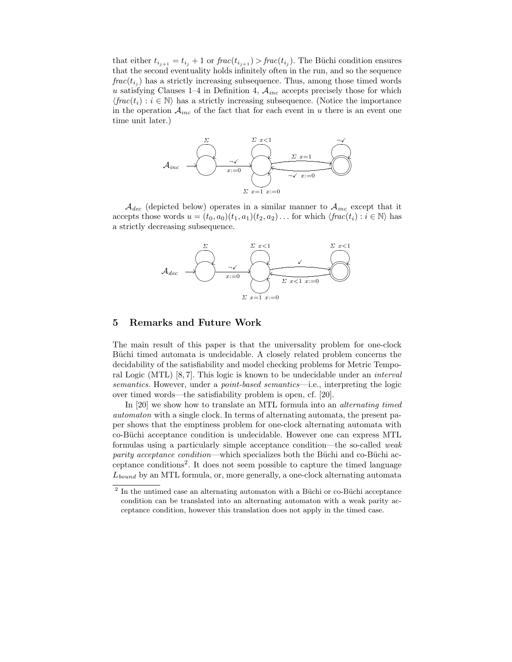that either  $t_{i_{j+1}} = t_{i_j} + 1$  or  $frac(t_{i_{j+1}}) > frac(t_{i_j})$ . The Büchi condition ensures that the second eventuality holds infinitely often in the run, and so the sequence  $frac(t_{i_j})$  has a strictly increasing subsequence. Thus, among those timed words u satisfying Clauses 1–4 in Definition 4,  $A_{inc}$  accepts precisely those for which  $\langle \text{frac}(t_i) : i \in \mathbb{N} \rangle$  has a strictly increasing subsequence. (Notice the importance in the operation  $A_{inc}$  of the fact that for each event in u there is an event one time unit later.)



 $\mathcal{A}_{dec}$  (depicted below) operates in a similar manner to  $\mathcal{A}_{inc}$  except that it accepts those words  $u = (t_0, a_0)(t_1, a_1)(t_2, a_2) \dots$  for which  $\langle \text{frac}(t_i) : i \in \mathbb{N} \rangle$  has a strictly decreasing subsequence.



#### 5 Remarks and Future Work

The main result of this paper is that the universality problem for one-clock Buch itimed automata is undecidable. A closely related problem concerns the decidability of the satisfiability and model checking problems for Metric Temporal Logic (MTL) [8, 7]. This logic is known to be undecidable under an *interval* semantics. However, under a point-based semantics—i.e., interpreting the logic over timed words—the satisfiability problem is open, cf. [20].

In [20] we show how to translate an MTL formula into an alternating timed automaton with a single clock. In terms of alternating automata, the present paper shows that the emptiness problem for one-clock alternating automata with co-Büchi acceptance condition is undecidable. However one can express MTL formulas using a particularly simple acceptance condition—the so-called weak parity acceptance condition—which specializes both the Büchi and co-Büchi acceptance conditions<sup>2</sup> . It does not seem possible to capture the timed language  $L_{bound}$  by an MTL formula, or, more generally, a one-clock alternating automata

 $^2$  In the untimed case an alternating automaton with a Büchi or co-Büchi acceptance condition can be translated into an alternating automaton with a weak parity acceptance condition, however this translation does not apply in the timed case.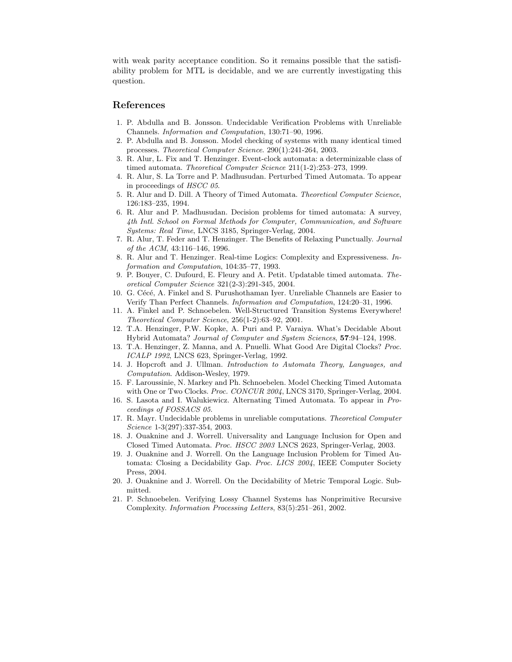with weak parity acceptance condition. So it remains possible that the satisfiability problem for MTL is decidable, and we are currently investigating this question.

## References

- 1. P. Abdulla and B. Jonsson. Undecidable Verification Problems with Unreliable Channels. Information and Computation, 130:71–90, 1996.
- 2. P. Abdulla and B. Jonsson. Model checking of systems with many identical timed processes. Theoretical Computer Science. 290(1):241-264, 2003.
- 3. R. Alur, L. Fix and T. Henzinger. Event-clock automata: a determinizable class of timed automata. Theoretical Computer Science 211(1-2):253–273, 1999.
- 4. R. Alur, S. La Torre and P. Madhusudan. Perturbed Timed Automata. To appear in proceedings of HSCC 05.
- 5. R. Alur and D. Dill. A Theory of Timed Automata. Theoretical Computer Science, 126:183–235, 1994.
- 6. R. Alur and P. Madhusudan. Decision problems for timed automata: A survey, 4th Intl. School on Formal Methods for Computer, Communication, and Software Systems: Real Time, LNCS 3185, Springer-Verlag, 2004.
- 7. R. Alur, T. Feder and T. Henzinger. The Benefits of Relaxing Punctually. Journal of the ACM, 43:116–146, 1996.
- 8. R. Alur and T. Henzinger. Real-time Logics: Complexity and Expressiveness. Information and Computation, 104:35–77, 1993.
- 9. P. Bouyer, C. Dufourd, E. Fleury and A. Petit. Updatable timed automata. Theoretical Computer Science 321(2-3):291-345, 2004.
- 10. G. Cécé, A. Finkel and S. Purushothaman Iyer. Unreliable Channels are Easier to Verify Than Perfect Channels. Information and Computation, 124:20–31, 1996.
- 11. A. Finkel and P. Schnoebelen. Well-Structured Transition Systems Everywhere! Theoretical Computer Science, 256(1-2):63–92, 2001.
- 12. T.A. Henzinger, P.W. Kopke, A. Puri and P. Varaiya. What's Decidable About Hybrid Automata? Journal of Computer and System Sciences, 57:94–124, 1998.
- 13. T.A. Henzinger, Z. Manna, and A. Pnuelli. What Good Are Digital Clocks? Proc. ICALP 1992, LNCS 623, Springer-Verlag, 1992.
- 14. J. Hopcroft and J. Ullman. Introduction to Automata Theory, Languages, and Computation. Addison-Wesley, 1979.
- 15. F. Laroussinie, N. Markey and Ph. Schnoebelen. Model Checking Timed Automata with One or Two Clocks. Proc. CONCUR 2004, LNCS 3170, Springer-Verlag, 2004.
- 16. S. Lasota and I. Walukiewicz. Alternating Timed Automata. To appear in Proceedings of FOSSACS 05.
- 17. R. Mayr. Undecidable problems in unreliable computations. Theoretical Computer Science 1-3(297):337-354, 2003.
- 18. J. Ouaknine and J. Worrell. Universality and Language Inclusion for Open and Closed Timed Automata. Proc. HSCC 2003 LNCS 2623, Springer-Verlag, 2003.
- 19. J. Ouaknine and J. Worrell. On the Language Inclusion Problem for Timed Automata: Closing a Decidability Gap. Proc. LICS 2004, IEEE Computer Society Press, 2004.
- 20. J. Ouaknine and J. Worrell. On the Decidability of Metric Temporal Logic. Submitted.
- 21. P. Schnoebelen. Verifying Lossy Channel Systems has Nonprimitive Recursive Complexity. Information Processing Letters, 83(5):251–261, 2002.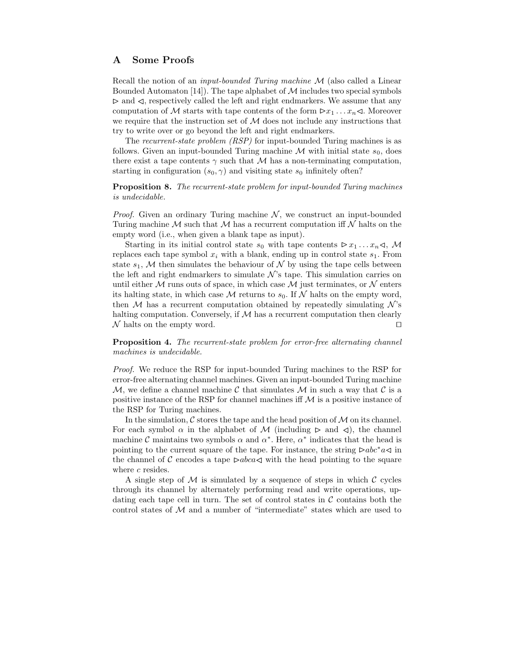## A Some Proofs

Recall the notion of an *input-bounded Turing machine*  $M$  (also called a Linear Bounded Automaton  $[14]$ . The tape alphabet of M includes two special symbols  $\triangleright$  and  $\triangleleft$ , respectively called the left and right endmarkers. We assume that any computation of M starts with tape contents of the form  $\triangleright x_1 \dots x_n \triangleleft$ . Moreover we require that the instruction set of  $\mathcal M$  does not include any instructions that try to write over or go beyond the left and right endmarkers.

The recurrent-state problem *(RSP)* for input-bounded Turing machines is as follows. Given an input-bounded Turing machine  $M$  with initial state  $s_0$ , does there exist a tape contents  $\gamma$  such that M has a non-terminating computation, starting in configuration  $(s_0, \gamma)$  and visiting state  $s_0$  infinitely often?

**Proposition 8.** The recurrent-state problem for input-bounded Turing machines is undecidable.

*Proof.* Given an ordinary Turing machine  $\mathcal{N}$ , we construct an input-bounded Turing machine  $M$  such that  $M$  has a recurrent computation iff  $N$  halts on the empty word (i.e., when given a blank tape as input).

Starting in its initial control state  $s_0$  with tape contents  $\triangleright x_1 \dots x_n \triangleleft$ , M replaces each tape symbol  $x_i$  with a blank, ending up in control state  $s_1$ . From state  $s_1$ , M then simulates the behaviour of N by using the tape cells between the left and right endmarkers to simulate  $\mathcal{N}$ 's tape. This simulation carries on until either  $M$  runs outs of space, in which case  $M$  just terminates, or  $N$  enters its halting state, in which case M returns to  $s_0$ . If N halts on the empty word, then M has a recurrent computation obtained by repeatedly simulating  $\mathcal{N}$ 's halting computation. Conversely, if  $M$  has a recurrent computation then clearly  $\mathcal N$  halts on the empty word.

Proposition 4. The recurrent-state problem for error-free alternating channel machines is undecidable.

Proof. We reduce the RSP for input-bounded Turing machines to the RSP for error-free alternating channel machines. Given an input-bounded Turing machine M, we define a channel machine C that simulates M in such a way that C is a positive instance of the RSP for channel machines iff  $M$  is a positive instance of the RSP for Turing machines.

In the simulation,  $\mathcal C$  stores the tape and the head position of  $\mathcal M$  on its channel. For each symbol  $\alpha$  in the alphabet of M (including  $\triangleright$  and  $\triangleleft$ ), the channel machine  $\mathcal C$  maintains two symbols  $\alpha$  and  $\alpha^*$ . Here,  $\alpha^*$  indicates that the head is pointing to the current square of the tape. For instance, the string  $\triangleright abc^*a \triangleleft$  in the channel of C encodes a tape  $\triangleright abca \triangleleft$  with the head pointing to the square where c resides.

A single step of  $M$  is simulated by a sequence of steps in which  $C$  cycles through its channel by alternately performing read and write operations, updating each tape cell in turn. The set of control states in  $\mathcal C$  contains both the control states of  $M$  and a number of "intermediate" states which are used to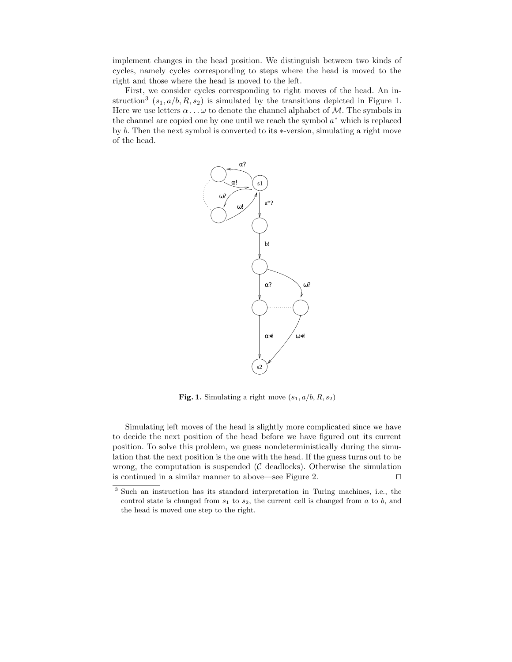implement changes in the head position. We distinguish between two kinds of cycles, namely cycles corresponding to steps where the head is moved to the right and those where the head is moved to the left.

First, we consider cycles corresponding to right moves of the head. An instruction<sup>3</sup>  $(s_1, a/b, R, s_2)$  is simulated by the transitions depicted in Figure 1. Here we use letters  $\alpha \dots \omega$  to denote the channel alphabet of M. The symbols in the channel are copied one by one until we reach the symbol  $a^*$  which is replaced by b. Then the next symbol is converted to its ∗-version, simulating a right move of the head.



Fig. 1. Simulating a right move  $(s_1, a/b, R, s_2)$ 

Simulating left moves of the head is slightly more complicated since we have to decide the next position of the head before we have figured out its current position. To solve this problem, we guess nondeterministically during the simulation that the next position is the one with the head. If the guess turns out to be wrong, the computation is suspended  $(C \text{ deadlocks})$ . Otherwise the simulation is continued in a similar manner to above—see Figure 2.  $\Box$ 

<sup>3</sup> Such an instruction has its standard interpretation in Turing machines, i.e., the control state is changed from  $s_1$  to  $s_2$ , the current cell is changed from  $a$  to  $b$ , and the head is moved one step to the right.